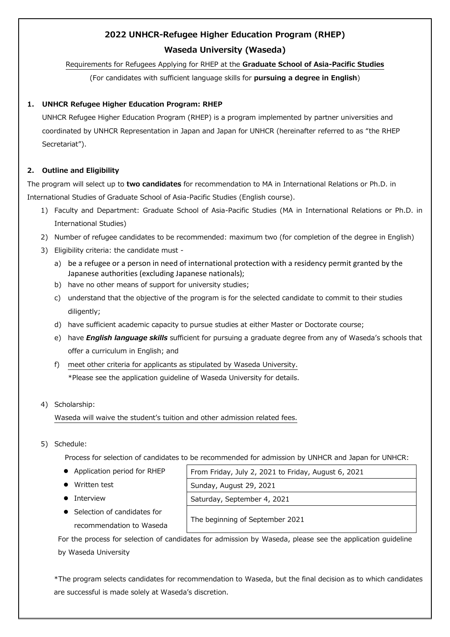# **2022 UNHCR-Refugee Higher Education Program (RHEP) Waseda University (Waseda)**

# Requirements for Refugees Applying for RHEP at the **Graduate School of Asia-Pacific Studies**

(For candidates with sufficient language skills for **pursuing a degree in English**)

# **1. UNHCR Refugee Higher Education Program: RHEP**

UNHCR Refugee Higher Education Program (RHEP) is a program implemented by partner universities and coordinated by UNHCR Representation in Japan and Japan for UNHCR (hereinafter referred to as "the RHEP Secretariat").

# **2. Outline and Eligibility**

The program will select up to **two candidates** for recommendation to MA in International Relations or Ph.D. in International Studies of Graduate School of Asia-Pacific Studies (English course).

- 1) Faculty and Department: Graduate School of Asia-Pacific Studies (MA in International Relations or Ph.D. in International Studies)
- 2) Number of refugee candidates to be recommended: maximum two (for completion of the degree in English)
- 3) Eligibility criteria: the candidate must
	- a) be a refugee or a person in need of international protection with a residency permit granted by the Japanese authorities (excluding Japanese nationals);
	- b) have no other means of support for university studies;
	- c) understand that the objective of the program is for the selected candidate to commit to their studies diligently;
	- d) have sufficient academic capacity to pursue studies at either Master or Doctorate course;
	- e) have *English language skills* sufficient for pursuing a graduate degree from any of Waseda's schools that offer a curriculum in English; and
	- f) meet other criteria for applicants as stipulated by Waseda University. \*Please see the application guideline of Waseda University for details.

# 4) Scholarship:

Waseda will waive the student's tuition and other admission related fees.

5) Schedule:

Process for selection of candidates to be recommended for admission by UNHCR and Japan for UNHCR:

- 
- 
- 
- Application period for RHEP From Friday, July 2, 2021 to Friday, August 6, 2021 ■ Written test Sunday, August 29, 2021 ● Interview Saturday, September 4, 2021 The beginning of September 2021
- Selection of candidates for recommendation to Waseda

For the process for selection of candidates for admission by Waseda, please see the application guideline by Waseda University

\*The program selects candidates for recommendation to Waseda, but the final decision as to which candidates are successful is made solely at Waseda's discretion.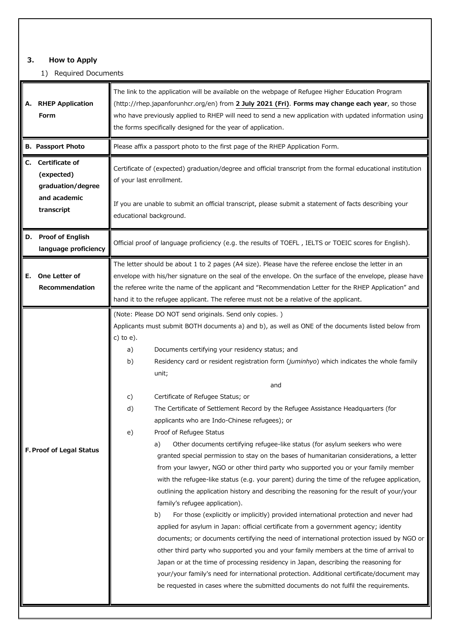## **3. How to Apply**

## 1) Required Documents

| <b>RHEP Application</b><br>Α.<br>Form                                                 | The link to the application will be available on the webpage of Refugee Higher Education Program<br>(http://rhep.japanforunhcr.org/en) from 2 July 2021 (Fri). Forms may change each year, so those<br>who have previously applied to RHEP will need to send a new application with updated information using<br>the forms specifically designed for the year of application.                                                                                                                                                                                                                                                                                                                                                                                                                                                                                                                                                                                                                                                                                                                                                                                                                                                                                                                                                                                                                                                                                                                                                                                                                                                                                                                                                               |
|---------------------------------------------------------------------------------------|---------------------------------------------------------------------------------------------------------------------------------------------------------------------------------------------------------------------------------------------------------------------------------------------------------------------------------------------------------------------------------------------------------------------------------------------------------------------------------------------------------------------------------------------------------------------------------------------------------------------------------------------------------------------------------------------------------------------------------------------------------------------------------------------------------------------------------------------------------------------------------------------------------------------------------------------------------------------------------------------------------------------------------------------------------------------------------------------------------------------------------------------------------------------------------------------------------------------------------------------------------------------------------------------------------------------------------------------------------------------------------------------------------------------------------------------------------------------------------------------------------------------------------------------------------------------------------------------------------------------------------------------------------------------------------------------------------------------------------------------|
| <b>B. Passport Photo</b>                                                              | Please affix a passport photo to the first page of the RHEP Application Form.                                                                                                                                                                                                                                                                                                                                                                                                                                                                                                                                                                                                                                                                                                                                                                                                                                                                                                                                                                                                                                                                                                                                                                                                                                                                                                                                                                                                                                                                                                                                                                                                                                                               |
| Certificate of<br>C.<br>(expected)<br>graduation/degree<br>and academic<br>transcript | Certificate of (expected) graduation/degree and official transcript from the formal educational institution<br>of your last enrollment.<br>If you are unable to submit an official transcript, please submit a statement of facts describing your                                                                                                                                                                                                                                                                                                                                                                                                                                                                                                                                                                                                                                                                                                                                                                                                                                                                                                                                                                                                                                                                                                                                                                                                                                                                                                                                                                                                                                                                                           |
|                                                                                       | educational background.                                                                                                                                                                                                                                                                                                                                                                                                                                                                                                                                                                                                                                                                                                                                                                                                                                                                                                                                                                                                                                                                                                                                                                                                                                                                                                                                                                                                                                                                                                                                                                                                                                                                                                                     |
| D. Proof of English<br>language proficiency                                           | Official proof of language proficiency (e.g. the results of TOEFL, IELTS or TOEIC scores for English).                                                                                                                                                                                                                                                                                                                                                                                                                                                                                                                                                                                                                                                                                                                                                                                                                                                                                                                                                                                                                                                                                                                                                                                                                                                                                                                                                                                                                                                                                                                                                                                                                                      |
| One Letter of<br>Е.<br>Recommendation                                                 | The letter should be about 1 to 2 pages (A4 size). Please have the referee enclose the letter in an<br>envelope with his/her signature on the seal of the envelope. On the surface of the envelope, please have<br>the referee write the name of the applicant and "Recommendation Letter for the RHEP Application" and<br>hand it to the refugee applicant. The referee must not be a relative of the applicant.                                                                                                                                                                                                                                                                                                                                                                                                                                                                                                                                                                                                                                                                                                                                                                                                                                                                                                                                                                                                                                                                                                                                                                                                                                                                                                                           |
| F. Proof of Legal Status                                                              | (Note: Please DO NOT send originals. Send only copies.)<br>Applicants must submit BOTH documents a) and b), as well as ONE of the documents listed below from<br>c) to $e$ ).<br>Documents certifying your residency status; and<br>a)<br>Residency card or resident registration form (juminhyo) which indicates the whole family<br>b)<br>unit;<br>and<br>Certificate of Refugee Status; or<br>c)<br>The Certificate of Settlement Record by the Refugee Assistance Headquarters (for<br>d)<br>applicants who are Indo-Chinese refugees); or<br>Proof of Refugee Status<br>e)<br>Other documents certifying refugee-like status (for asylum seekers who were<br>a)<br>granted special permission to stay on the bases of humanitarian considerations, a letter<br>from your lawyer, NGO or other third party who supported you or your family member<br>with the refugee-like status (e.g. your parent) during the time of the refugee application,<br>outlining the application history and describing the reasoning for the result of your/your<br>family's refugee application).<br>For those (explicitly or implicitly) provided international protection and never had<br>b)<br>applied for asylum in Japan: official certificate from a government agency; identity<br>documents; or documents certifying the need of international protection issued by NGO or<br>other third party who supported you and your family members at the time of arrival to<br>Japan or at the time of processing residency in Japan, describing the reasoning for<br>your/your family's need for international protection. Additional certificate/document may<br>be requested in cases where the submitted documents do not fulfil the requirements. |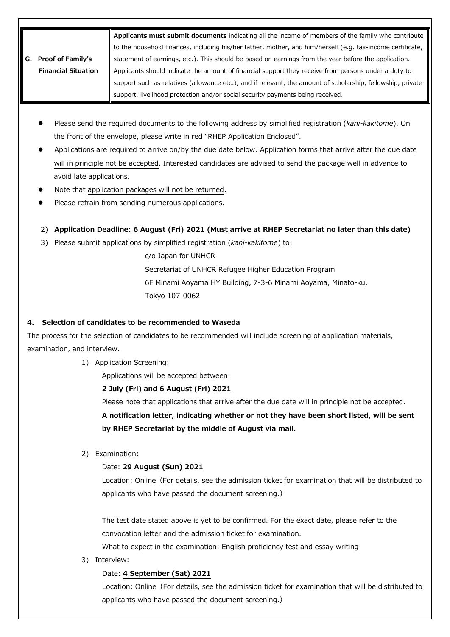|                            | Applicants must submit documents indicating all the income of members of the family who contribute               |
|----------------------------|------------------------------------------------------------------------------------------------------------------|
|                            | to the household finances, including his/her father, mother, and him/herself (e.g. tax-income certificate,       |
| <b>Proof of Family's</b>   | statement of earnings, etc.). This should be based on earnings from the year before the application.             |
| <b>Financial Situation</b> | $\parallel$ Applicants should indicate the amount of financial support they receive from persons under a duty to |
|                            | support such as relatives (allowance etc.), and if relevant, the amount of scholarship, fellowship, private      |
|                            | support, livelihood protection and/or social security payments being received.                                   |

- Please send the required documents to the following address by simplified registration (*kani-kakitome*). On the front of the envelope, please write in red "RHEP Application Enclosed".
- Applications are required to arrive on/by the due date below. Application forms that arrive after the due date will in principle not be accepted. Interested candidates are advised to send the package well in advance to avoid late applications.
- Note that application packages will not be returned.
- Please refrain from sending numerous applications.
- 2) **Application Deadline: 6 August (Fri) 2021 (Must arrive at RHEP Secretariat no later than this date)**
- 3) Please submit applications by simplified registration (*kani-kakitome*) to:

c/o Japan for UNHCR Secretariat of UNHCR Refugee Higher Education Program 6F Minami Aoyama HY Building, 7-3-6 Minami Aoyama, Minato-ku, Tokyo 107-0062

## **4. Selection of candidates to be recommended to Waseda**

The process for the selection of candidates to be recommended will include screening of application materials, examination, and interview.

1) Application Screening:

Applications will be accepted between:

### **2 July (Fri) and 6 August (Fri) 2021**

Please note that applications that arrive after the due date will in principle not be accepted.

**A notification letter, indicating whether or not they have been short listed, will be sent by RHEP Secretariat by the middle of August via mail.**

2) Examination:

# Date: **29 August (Sun) 2021**

Location: Online (For details, see the admission ticket for examination that will be distributed to applicants who have passed the document screening.)

The test date stated above is yet to be confirmed. For the exact date, please refer to the convocation letter and the admission ticket for examination.

What to expect in the examination: English proficiency test and essay writing

3) Interview:

### Date: **4 September (Sat) 2021**

Location: Online (For details, see the admission ticket for examination that will be distributed to applicants who have passed the document screening.)